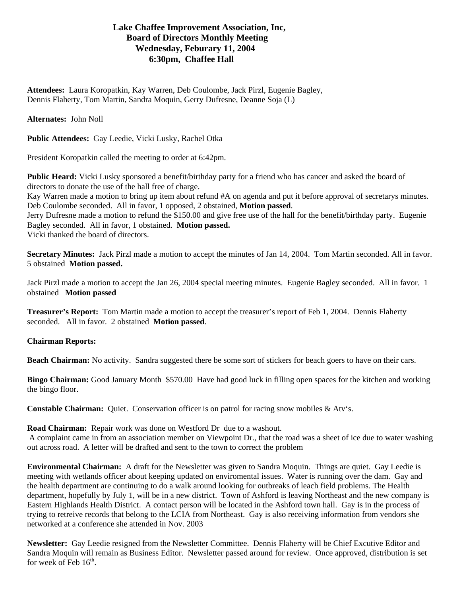## **Lake Chaffee Improvement Association, Inc, Board of Directors Monthly Meeting Wednesday, Feburary 11, 2004 6:30pm, Chaffee Hall**

**Attendees:** Laura Koropatkin, Kay Warren, Deb Coulombe, Jack Pirzl, Eugenie Bagley, Dennis Flaherty, Tom Martin, Sandra Moquin, Gerry Dufresne, Deanne Soja (L)

## **Alternates:** John Noll

**Public Attendees:** Gay Leedie, Vicki Lusky, Rachel Otka

President Koropatkin called the meeting to order at 6:42pm.

**Public Heard:** Vicki Lusky sponsored a benefit/birthday party for a friend who has cancer and asked the board of directors to donate the use of the hall free of charge.

Kay Warren made a motion to bring up item about refund #A on agenda and put it before approval of secretarys minutes. Deb Coulombe seconded. All in favor, 1 opposed, 2 obstained, **Motion passed**.

Jerry Dufresne made a motion to refund the \$150.00 and give free use of the hall for the benefit/birthday party. Eugenie Bagley seconded. All in favor, 1 obstained. **Motion passed.**  Vicki thanked the board of directors.

**Secretary Minutes:** Jack Pirzl made a motion to accept the minutes of Jan 14, 2004. Tom Martin seconded. All in favor. 5 obstained **Motion passed.** 

Jack Pirzl made a motion to accept the Jan 26, 2004 special meeting minutes. Eugenie Bagley seconded. All in favor. 1 obstained **Motion passed**

**Treasurer's Report:** Tom Martin made a motion to accept the treasurer's report of Feb 1, 2004. Dennis Flaherty seconded. All in favor. 2 obstained **Motion passed**.

## **Chairman Reports:**

**Beach Chairman:** No activity. Sandra suggested there be some sort of stickers for beach goers to have on their cars.

**Bingo Chairman:** Good January Month \$570.00 Have had good luck in filling open spaces for the kitchen and working the bingo floor.

**Constable Chairman:** Quiet. Conservation officer is on patrol for racing snow mobiles & Atv's.

**Road Chairman:** Repair work was done on Westford Dr due to a washout.

 A complaint came in from an association member on Viewpoint Dr., that the road was a sheet of ice due to water washing out across road. A letter will be drafted and sent to the town to correct the problem

**Environmental Chairman:** A draft for the Newsletter was given to Sandra Moquin. Things are quiet. Gay Leedie is meeting with wetlands officer about keeping updated on enviromental issues. Water is running over the dam. Gay and the health department are continuing to do a walk around looking for outbreaks of leach field problems. The Health department, hopefully by July 1, will be in a new district. Town of Ashford is leaving Northeast and the new company is Eastern Highlands Health District. A contact person will be located in the Ashford town hall. Gay is in the process of trying to retreive records that belong to the LCIA from Northeast. Gay is also receiving information from vendors she networked at a conference she attended in Nov. 2003

**Newsletter:** Gay Leedie resigned from the Newsletter Committee. Dennis Flaherty will be Chief Excutive Editor and Sandra Moquin will remain as Business Editor. Newsletter passed around for review. Once approved, distribution is set for week of Feb  $16<sup>th</sup>$ .